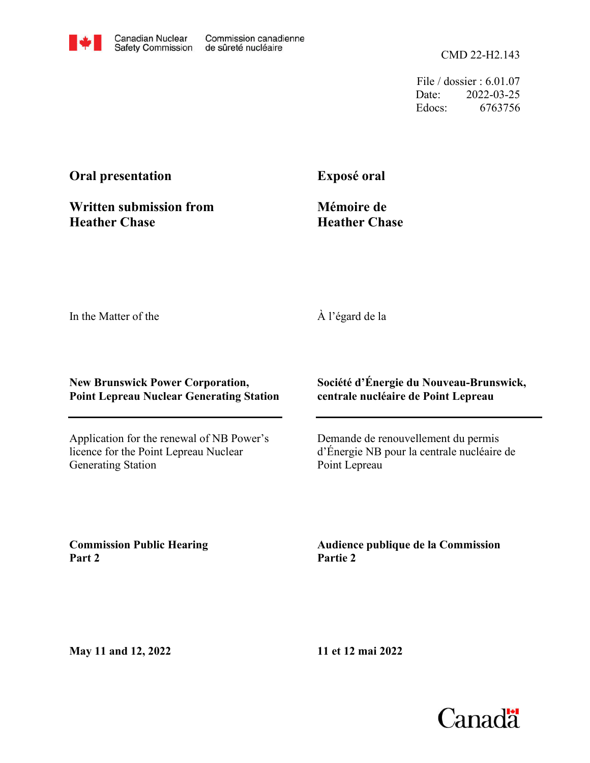CMD 22-H2.143

File / dossier : 6.01.07 Date: 2022-03-25 Edocs: 6763756

## **Oral presentation**

**Exposé oral**

**Written submission from Heather Chase**

**Mémoire de Heather Chase**

In the Matter of the

À l'égard de la

## **New Brunswick Power Corporation, Point Lepreau Nuclear Generating Station**

Application for the renewal of NB Power's licence for the Point Lepreau Nuclear Generating Station

**Société d'Énergie du Nouveau-Brunswick, centrale nucléaire de Point Lepreau**

Demande de renouvellement du permis d'Énergie NB pour la centrale nucléaire de Point Lepreau

**Commission Public Hearing Part 2**

**Audience publique de la Commission Partie 2**

**May 11 and 12, 2022**

**11 et 12 mai 2022**

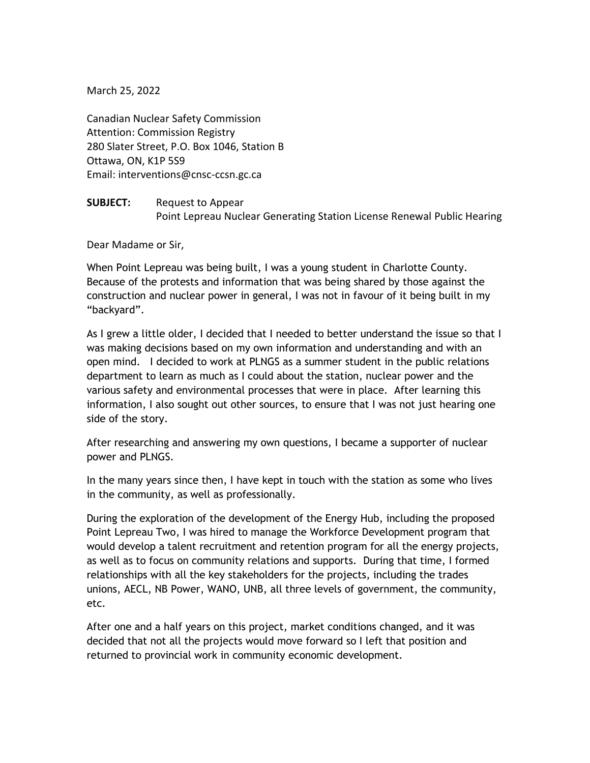March 25, 2022

Canadian Nuclear Safety Commission Attention: Commission Registry 280 Slater Street, P.O. Box 1046, Station B Ottawa, ON, K1P 5S9 Email: interventions@cnsc-ccsn.gc.ca

**SUBJECT:** Request to Appear Point Lepreau Nuclear Generating Station License Renewal Public Hearing

Dear Madame or Sir,

When Point Lepreau was being built, I was a young student in Charlotte County. Because of the protests and information that was being shared by those against the construction and nuclear power in general, I was not in favour of it being built in my "backyard".

As I grew a little older, I decided that I needed to better understand the issue so that I was making decisions based on my own information and understanding and with an open mind. I decided to work at PLNGS as a summer student in the public relations department to learn as much as I could about the station, nuclear power and the various safety and environmental processes that were in place. After learning this information, I also sought out other sources, to ensure that I was not just hearing one side of the story.

After researching and answering my own questions, I became a supporter of nuclear power and PLNGS.

In the many years since then, I have kept in touch with the station as some who lives in the community, as well as professionally.

During the exploration of the development of the Energy Hub, including the proposed Point Lepreau Two, I was hired to manage the Workforce Development program that would develop a talent recruitment and retention program for all the energy projects, as well as to focus on community relations and supports. During that time, I formed relationships with all the key stakeholders for the projects, including the trades unions, AECL, NB Power, WANO, UNB, all three levels of government, the community, etc.

After one and a half years on this project, market conditions changed, and it was decided that not all the projects would move forward so I left that position and returned to provincial work in community economic development.